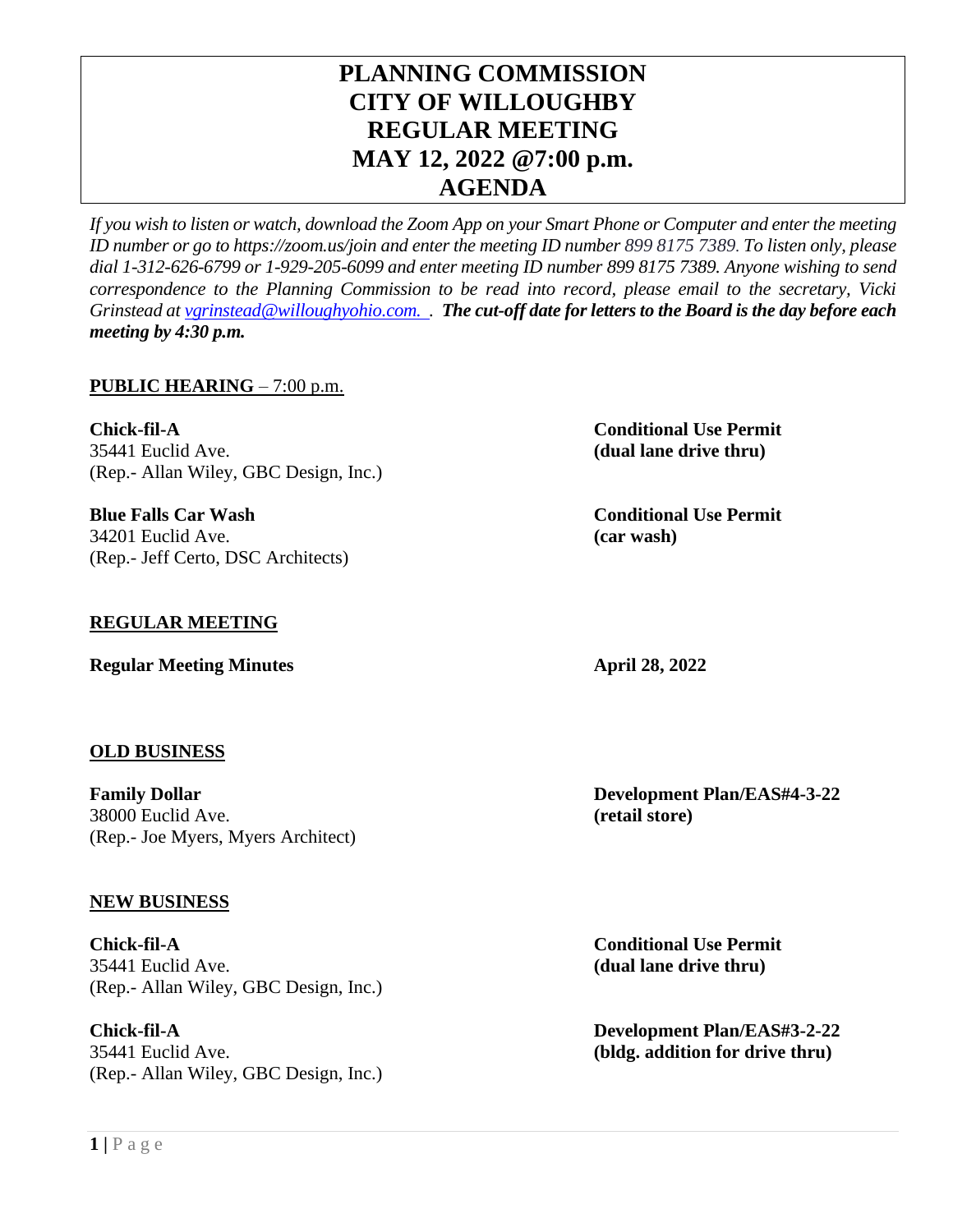# **PLANNING COMMISSION CITY OF WILLOUGHBY REGULAR MEETING MAY 12, 2022 @7:00 p.m. AGENDA**

*If you wish to listen or watch, download the Zoom App on your Smart Phone or Computer and enter the meeting ID number or go to https://zoom.us/join and enter the meeting ID number 899 8175 7389. To listen only, please dial 1-312-626-6799 or 1-929-205-6099 and enter meeting ID number 899 8175 7389. Anyone wishing to send correspondence to the Planning Commission to be read into record, please email to the secretary, Vicki Grinstead a[t vgrinstead@willoughyohio.com.](mailto:vgrinstead@willoughyohio.com) . The cut-off date for letters to the Board is the day before each meeting by 4:30 p.m.* 

## **PUBLIC HEARING** – 7:00 p.m.

**Chick-fil-A Conditional Use Permit** 35441 Euclid Ave. **(dual lane drive thru)** (Rep.- Allan Wiley, GBC Design, Inc.)

**Blue Falls Car Wash Conditional Use Permit** 34201 Euclid Ave. **(car wash)** (Rep.- Jeff Certo, DSC Architects)

### **REGULAR MEETING**

**Regular Meeting Minutes April 28, 2022** 

#### **OLD BUSINESS**

**Family Dollar Development Plan/EAS#4-3-22** 38000 Euclid Ave. **(retail store)** (Rep.- Joe Myers, Myers Architect)

#### **NEW BUSINESS**

**Chick-fil-A Conditional Use Permit** 35441 Euclid Ave. **(dual lane drive thru)** (Rep.- Allan Wiley, GBC Design, Inc.)

**Chick-fil-A Development Plan/EAS#3-2-22** 35441 Euclid Ave. **(bldg. addition for drive thru)** (Rep.- Allan Wiley, GBC Design, Inc.)